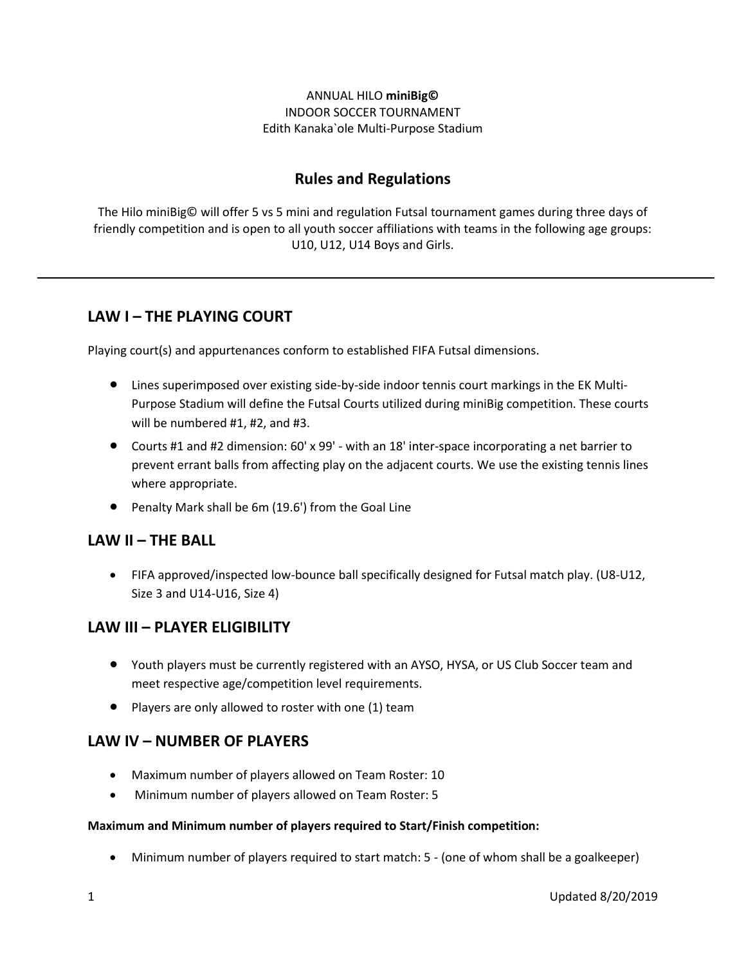### ANNUAL HILO **miniBig©** INDOOR SOCCER TOURNAMENT Edith Kanaka`ole Multi-Purpose Stadium

# **Rules and Regulations**

The Hilo miniBig© will offer 5 vs 5 mini and regulation Futsal tournament games during three days of friendly competition and is open to all youth soccer affiliations with teams in the following age groups: U10, U12, U14 Boys and Girls.

# **LAW I – THE PLAYING COURT**

Playing court(s) and appurtenances conform to established FIFA Futsal dimensions.

- Lines superimposed over existing side-by-side indoor tennis court markings in the EK Multi-Purpose Stadium will define the Futsal Courts utilized during miniBig competition. These courts will be numbered #1, #2, and #3.
- Courts #1 and #2 dimension: 60' x 99' with an 18' inter-space incorporating a net barrier to prevent errant balls from affecting play on the adjacent courts. We use the existing tennis lines where appropriate.
- Penalty Mark shall be 6m (19.6') from the Goal Line

### **LAW II – THE BALL**

 FIFA approved/inspected low-bounce ball specifically designed for Futsal match play. (U8-U12, Size 3 and U14-U16, Size 4)

# **LAW III – PLAYER ELIGIBILITY**

- Youth players must be currently registered with an AYSO, HYSA, or US Club Soccer team and meet respective age/competition level requirements.
- $\bullet$  Players are only allowed to roster with one (1) team

### **LAW IV – NUMBER OF PLAYERS**

- Maximum number of players allowed on Team Roster: 10
- Minimum number of players allowed on Team Roster: 5

#### **Maximum and Minimum number of players required to Start/Finish competition:**

Minimum number of players required to start match: 5 - (one of whom shall be a goalkeeper)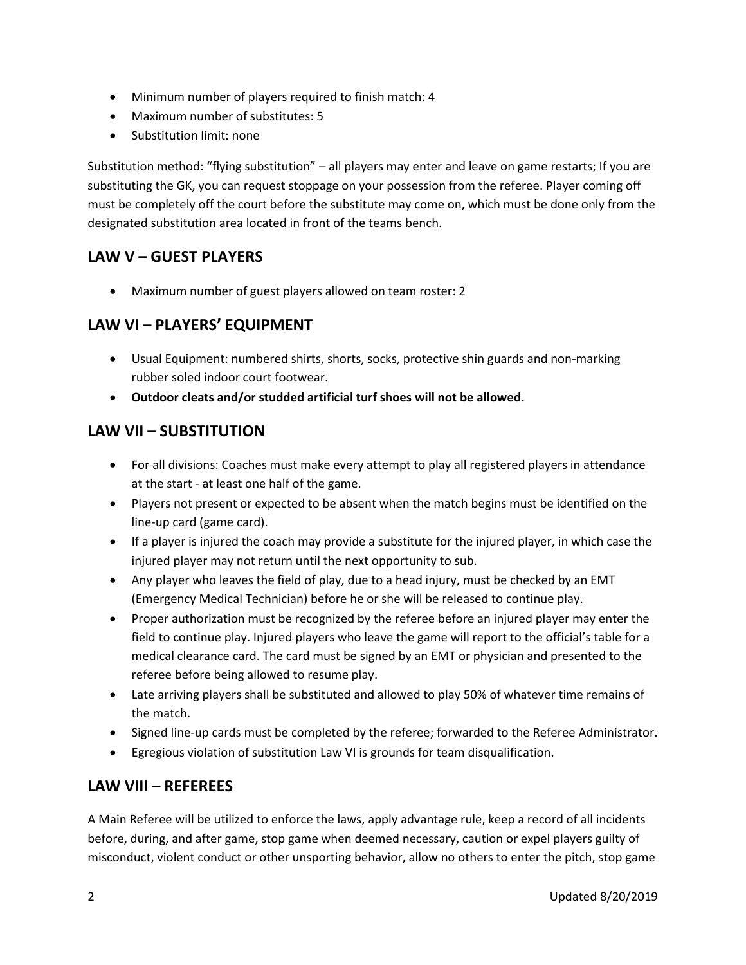- Minimum number of players required to finish match: 4
- Maximum number of substitutes: 5
- Substitution limit: none

Substitution method: "flying substitution" – all players may enter and leave on game restarts; If you are substituting the GK, you can request stoppage on your possession from the referee. Player coming off must be completely off the court before the substitute may come on, which must be done only from the designated substitution area located in front of the teams bench.

# **LAW V – GUEST PLAYERS**

Maximum number of guest players allowed on team roster: 2

# **LAW VI – PLAYERS' EQUIPMENT**

- Usual Equipment: numbered shirts, shorts, socks, protective shin guards and non-marking rubber soled indoor court footwear.
- **Outdoor cleats and/or studded artificial turf shoes will not be allowed.**

# **LAW VII – SUBSTITUTION**

- For all divisions: Coaches must make every attempt to play all registered players in attendance at the start - at least one half of the game.
- Players not present or expected to be absent when the match begins must be identified on the line-up card (game card).
- If a player is injured the coach may provide a substitute for the injured player, in which case the injured player may not return until the next opportunity to sub.
- Any player who leaves the field of play, due to a head injury, must be checked by an EMT (Emergency Medical Technician) before he or she will be released to continue play.
- Proper authorization must be recognized by the referee before an injured player may enter the field to continue play. Injured players who leave the game will report to the official's table for a medical clearance card. The card must be signed by an EMT or physician and presented to the referee before being allowed to resume play.
- Late arriving players shall be substituted and allowed to play 50% of whatever time remains of the match.
- Signed line-up cards must be completed by the referee; forwarded to the Referee Administrator.
- Egregious violation of substitution Law VI is grounds for team disqualification.

# **LAW VIII – REFEREES**

A Main Referee will be utilized to enforce the laws, apply advantage rule, keep a record of all incidents before, during, and after game, stop game when deemed necessary, caution or expel players guilty of misconduct, violent conduct or other unsporting behavior, allow no others to enter the pitch, stop game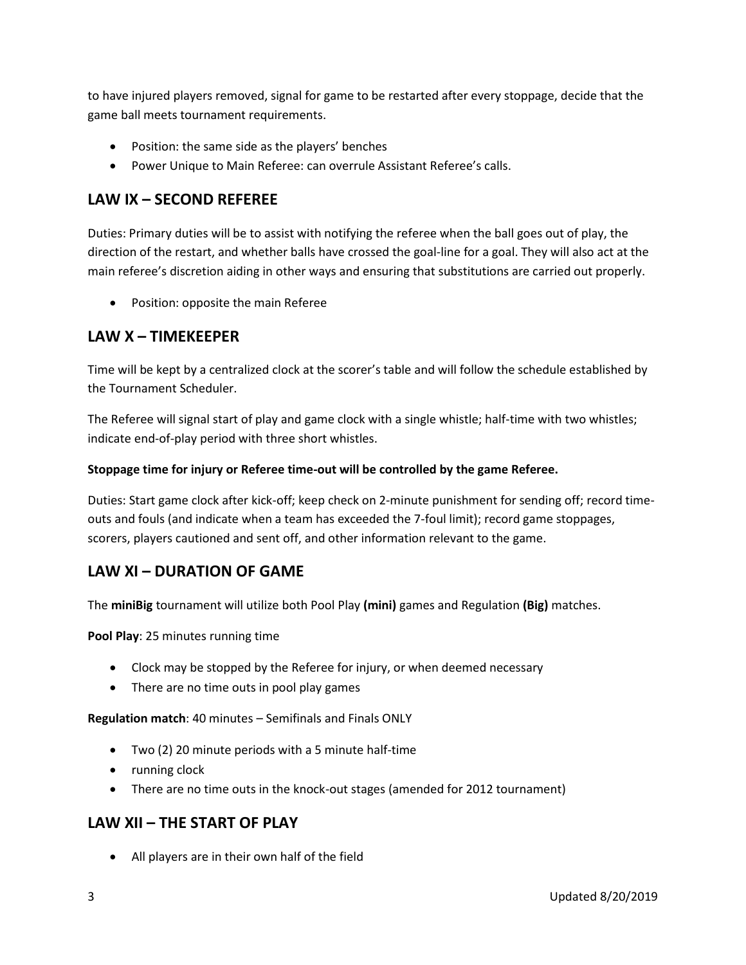to have injured players removed, signal for game to be restarted after every stoppage, decide that the game ball meets tournament requirements.

- Position: the same side as the players' benches
- Power Unique to Main Referee: can overrule Assistant Referee's calls.

# **LAW IX – SECOND REFEREE**

Duties: Primary duties will be to assist with notifying the referee when the ball goes out of play, the direction of the restart, and whether balls have crossed the goal-line for a goal. They will also act at the main referee's discretion aiding in other ways and ensuring that substitutions are carried out properly.

Position: opposite the main Referee

## **LAW X – TIMEKEEPER**

Time will be kept by a centralized clock at the scorer's table and will follow the schedule established by the Tournament Scheduler.

The Referee will signal start of play and game clock with a single whistle; half-time with two whistles; indicate end-of-play period with three short whistles.

### **Stoppage time for injury or Referee time-out will be controlled by the game Referee.**

Duties: Start game clock after kick-off; keep check on 2-minute punishment for sending off; record timeouts and fouls (and indicate when a team has exceeded the 7-foul limit); record game stoppages, scorers, players cautioned and sent off, and other information relevant to the game.

# **LAW XI – DURATION OF GAME**

The **miniBig** tournament will utilize both Pool Play **(mini)** games and Regulation **(Big)** matches.

**Pool Play**: 25 minutes running time

- Clock may be stopped by the Referee for injury, or when deemed necessary
- There are no time outs in pool play games

**Regulation match**: 40 minutes – Semifinals and Finals ONLY

- Two (2) 20 minute periods with a 5 minute half-time
- running clock
- There are no time outs in the knock-out stages (amended for 2012 tournament)

# **LAW XII – THE START OF PLAY**

All players are in their own half of the field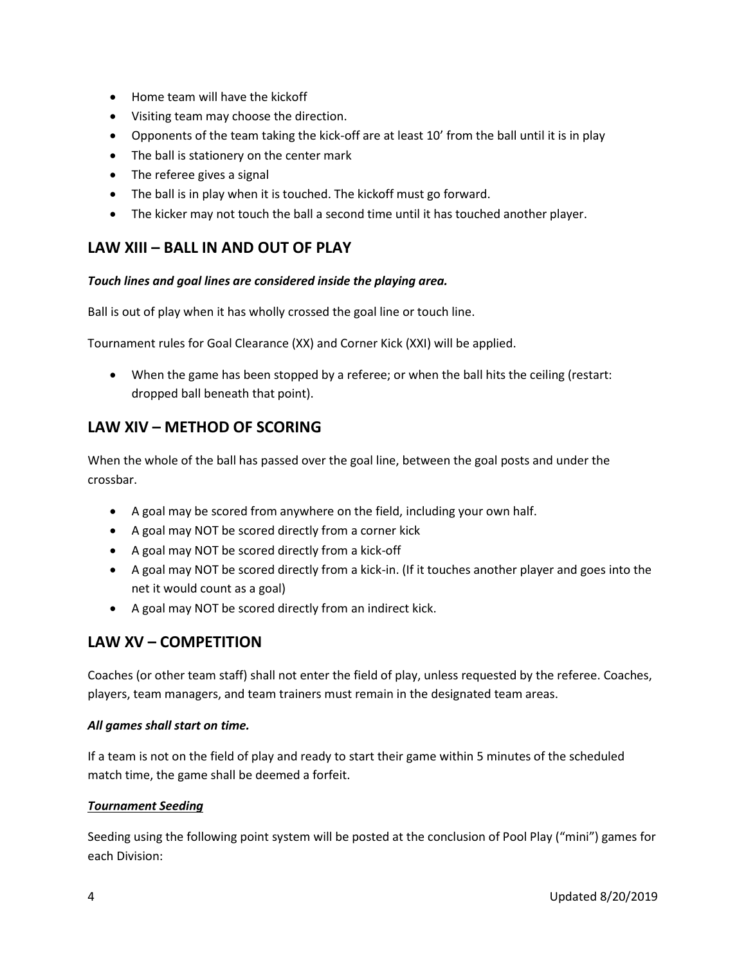- Home team will have the kickoff
- Visiting team may choose the direction.
- Opponents of the team taking the kick-off are at least 10' from the ball until it is in play
- The ball is stationery on the center mark
- The referee gives a signal
- The ball is in play when it is touched. The kickoff must go forward.
- The kicker may not touch the ball a second time until it has touched another player.

# **LAW XIII – BALL IN AND OUT OF PLAY**

#### *Touch lines and goal lines are considered inside the playing area.*

Ball is out of play when it has wholly crossed the goal line or touch line.

Tournament rules for Goal Clearance (XX) and Corner Kick (XXI) will be applied.

 When the game has been stopped by a referee; or when the ball hits the ceiling (restart: dropped ball beneath that point).

## **LAW XIV – METHOD OF SCORING**

When the whole of the ball has passed over the goal line, between the goal posts and under the crossbar.

- A goal may be scored from anywhere on the field, including your own half.
- A goal may NOT be scored directly from a corner kick
- A goal may NOT be scored directly from a kick-off
- A goal may NOT be scored directly from a kick-in. (If it touches another player and goes into the net it would count as a goal)
- A goal may NOT be scored directly from an indirect kick.

# **LAW XV – COMPETITION**

Coaches (or other team staff) shall not enter the field of play, unless requested by the referee. Coaches, players, team managers, and team trainers must remain in the designated team areas.

#### *All games shall start on time.*

If a team is not on the field of play and ready to start their game within 5 minutes of the scheduled match time, the game shall be deemed a forfeit.

#### *Tournament Seeding*

Seeding using the following point system will be posted at the conclusion of Pool Play ("mini") games for each Division: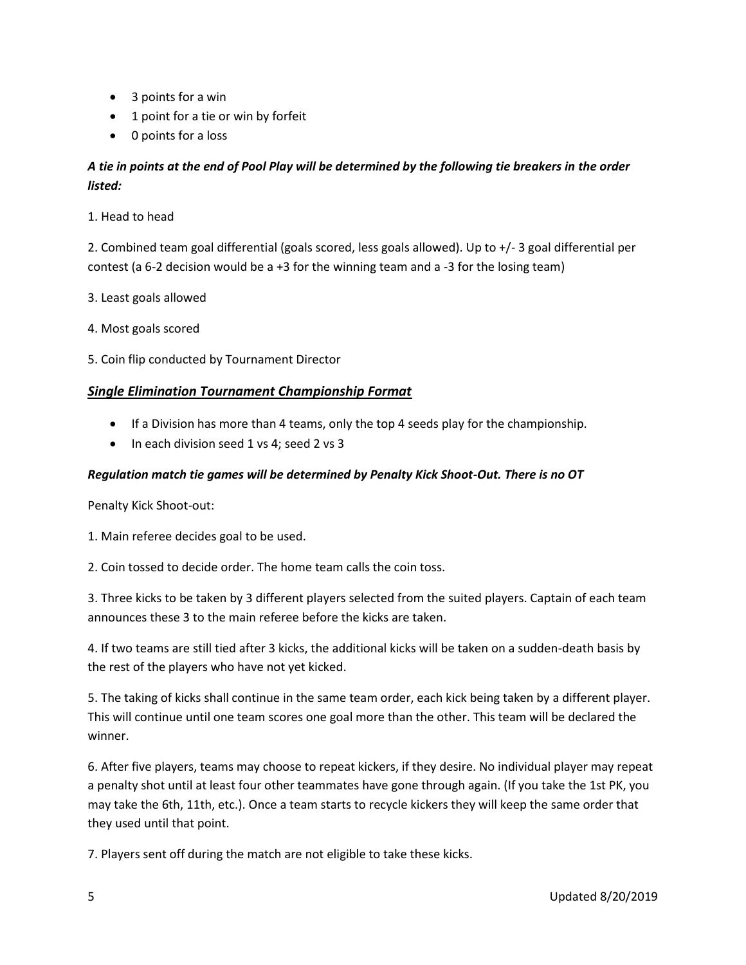- 3 points for a win
- 1 point for a tie or win by forfeit
- 0 points for a loss

## *A tie in points at the end of Pool Play will be determined by the following tie breakers in the order listed:*

1. Head to head

2. Combined team goal differential (goals scored, less goals allowed). Up to +/- 3 goal differential per contest (a 6-2 decision would be a +3 for the winning team and a -3 for the losing team)

- 3. Least goals allowed
- 4. Most goals scored
- 5. Coin flip conducted by Tournament Director

### *Single Elimination Tournament Championship Format*

- If a Division has more than 4 teams, only the top 4 seeds play for the championship.
- In each division seed 1 vs 4; seed 2 vs 3

#### *Regulation match tie games will be determined by Penalty Kick Shoot-Out. There is no OT*

Penalty Kick Shoot-out:

- 1. Main referee decides goal to be used.
- 2. Coin tossed to decide order. The home team calls the coin toss.

3. Three kicks to be taken by 3 different players selected from the suited players. Captain of each team announces these 3 to the main referee before the kicks are taken.

4. If two teams are still tied after 3 kicks, the additional kicks will be taken on a sudden-death basis by the rest of the players who have not yet kicked.

5. The taking of kicks shall continue in the same team order, each kick being taken by a different player. This will continue until one team scores one goal more than the other. This team will be declared the winner.

6. After five players, teams may choose to repeat kickers, if they desire. No individual player may repeat a penalty shot until at least four other teammates have gone through again. (If you take the 1st PK, you may take the 6th, 11th, etc.). Once a team starts to recycle kickers they will keep the same order that they used until that point.

7. Players sent off during the match are not eligible to take these kicks.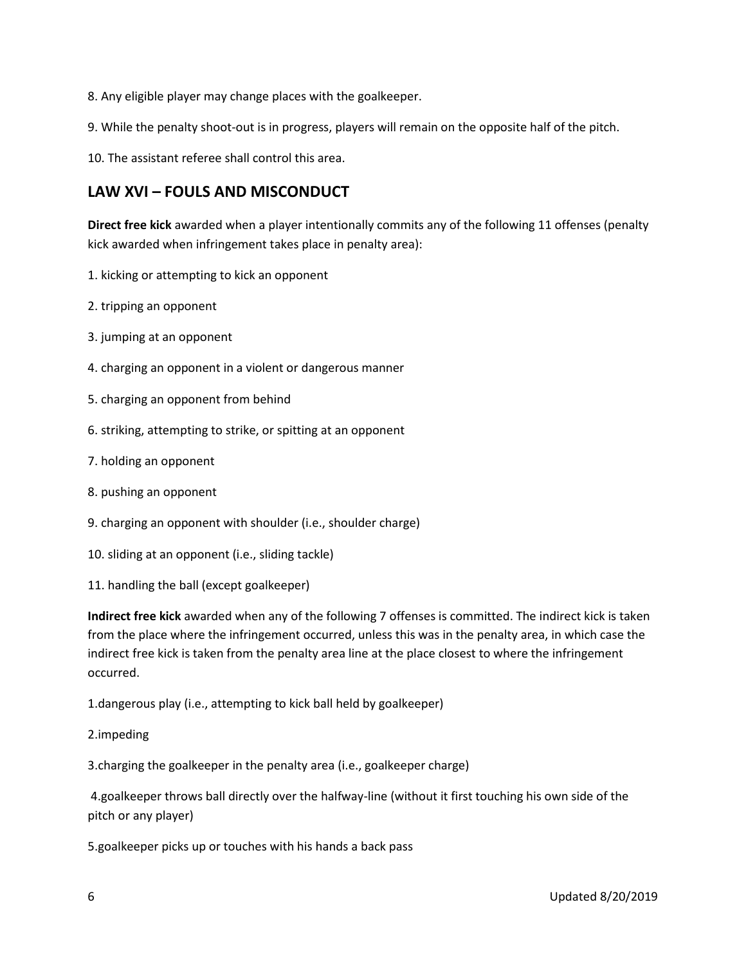- 8. Any eligible player may change places with the goalkeeper.
- 9. While the penalty shoot-out is in progress, players will remain on the opposite half of the pitch.
- 10. The assistant referee shall control this area.

## **LAW XVI – FOULS AND MISCONDUCT**

**Direct free kick** awarded when a player intentionally commits any of the following 11 offenses (penalty kick awarded when infringement takes place in penalty area):

- 1. kicking or attempting to kick an opponent
- 2. tripping an opponent
- 3. jumping at an opponent
- 4. charging an opponent in a violent or dangerous manner
- 5. charging an opponent from behind
- 6. striking, attempting to strike, or spitting at an opponent
- 7. holding an opponent
- 8. pushing an opponent
- 9. charging an opponent with shoulder (i.e., shoulder charge)
- 10. sliding at an opponent (i.e., sliding tackle)
- 11. handling the ball (except goalkeeper)

**Indirect free kick** awarded when any of the following 7 offenses is committed. The indirect kick is taken from the place where the infringement occurred, unless this was in the penalty area, in which case the indirect free kick is taken from the penalty area line at the place closest to where the infringement occurred.

1.dangerous play (i.e., attempting to kick ball held by goalkeeper)

2.impeding

3.charging the goalkeeper in the penalty area (i.e., goalkeeper charge)

4.goalkeeper throws ball directly over the halfway-line (without it first touching his own side of the pitch or any player)

5.goalkeeper picks up or touches with his hands a back pass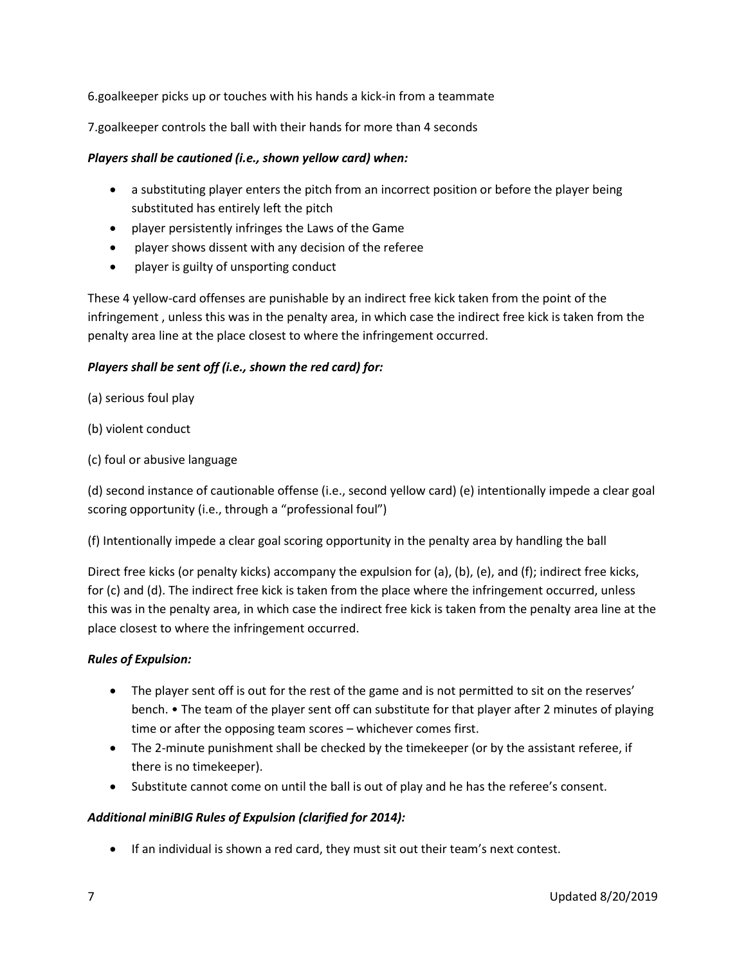6.goalkeeper picks up or touches with his hands a kick-in from a teammate

7.goalkeeper controls the ball with their hands for more than 4 seconds

### *Players shall be cautioned (i.e., shown yellow card) when:*

- a substituting player enters the pitch from an incorrect position or before the player being substituted has entirely left the pitch
- player persistently infringes the Laws of the Game
- player shows dissent with any decision of the referee
- player is guilty of unsporting conduct

These 4 yellow-card offenses are punishable by an indirect free kick taken from the point of the infringement , unless this was in the penalty area, in which case the indirect free kick is taken from the penalty area line at the place closest to where the infringement occurred.

### *Players shall be sent off (i.e., shown the red card) for:*

(a) serious foul play

- (b) violent conduct
- (c) foul or abusive language

(d) second instance of cautionable offense (i.e., second yellow card) (e) intentionally impede a clear goal scoring opportunity (i.e., through a "professional foul")

(f) Intentionally impede a clear goal scoring opportunity in the penalty area by handling the ball

Direct free kicks (or penalty kicks) accompany the expulsion for (a), (b), (e), and (f); indirect free kicks, for (c) and (d). The indirect free kick is taken from the place where the infringement occurred, unless this was in the penalty area, in which case the indirect free kick is taken from the penalty area line at the place closest to where the infringement occurred.

#### *Rules of Expulsion:*

- The player sent off is out for the rest of the game and is not permitted to sit on the reserves' bench. • The team of the player sent off can substitute for that player after 2 minutes of playing time or after the opposing team scores – whichever comes first.
- The 2-minute punishment shall be checked by the timekeeper (or by the assistant referee, if there is no timekeeper).
- Substitute cannot come on until the ball is out of play and he has the referee's consent.

### *Additional miniBIG Rules of Expulsion (clarified for 2014):*

If an individual is shown a red card, they must sit out their team's next contest.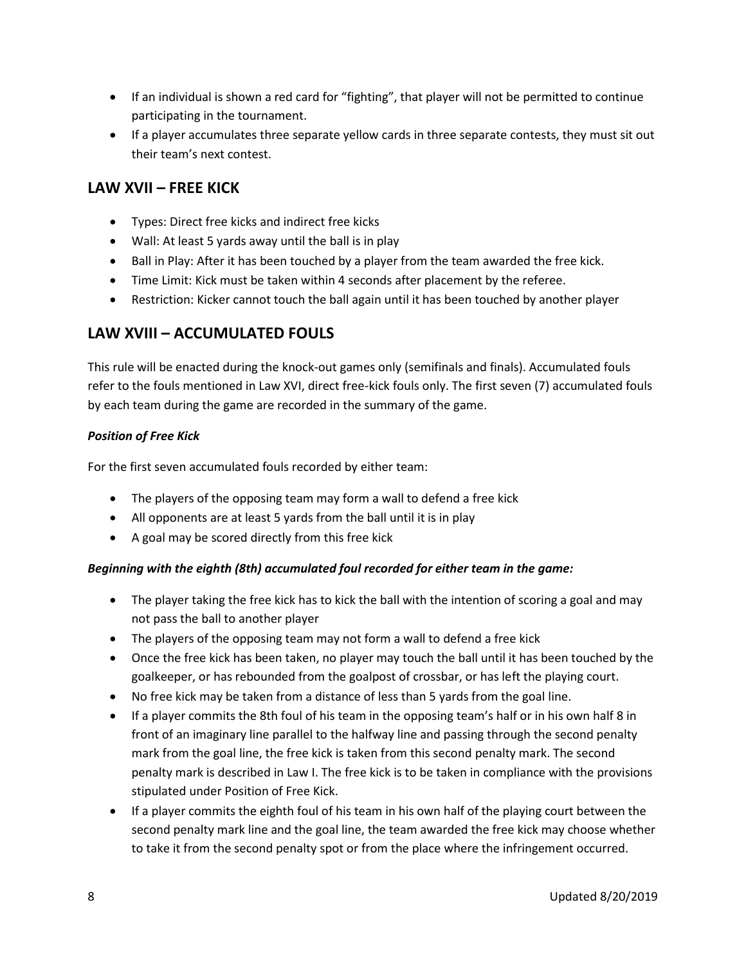- If an individual is shown a red card for "fighting", that player will not be permitted to continue participating in the tournament.
- If a player accumulates three separate yellow cards in three separate contests, they must sit out their team's next contest.

# **LAW XVII – FREE KICK**

- Types: Direct free kicks and indirect free kicks
- Wall: At least 5 yards away until the ball is in play
- Ball in Play: After it has been touched by a player from the team awarded the free kick.
- Time Limit: Kick must be taken within 4 seconds after placement by the referee.
- Restriction: Kicker cannot touch the ball again until it has been touched by another player

# **LAW XVIII – ACCUMULATED FOULS**

This rule will be enacted during the knock-out games only (semifinals and finals). Accumulated fouls refer to the fouls mentioned in Law XVI, direct free-kick fouls only. The first seven (7) accumulated fouls by each team during the game are recorded in the summary of the game.

### *Position of Free Kick*

For the first seven accumulated fouls recorded by either team:

- The players of the opposing team may form a wall to defend a free kick
- All opponents are at least 5 yards from the ball until it is in play
- A goal may be scored directly from this free kick

### *Beginning with the eighth (8th) accumulated foul recorded for either team in the game:*

- The player taking the free kick has to kick the ball with the intention of scoring a goal and may not pass the ball to another player
- The players of the opposing team may not form a wall to defend a free kick
- Once the free kick has been taken, no player may touch the ball until it has been touched by the goalkeeper, or has rebounded from the goalpost of crossbar, or has left the playing court.
- No free kick may be taken from a distance of less than 5 yards from the goal line.
- If a player commits the 8th foul of his team in the opposing team's half or in his own half 8 in front of an imaginary line parallel to the halfway line and passing through the second penalty mark from the goal line, the free kick is taken from this second penalty mark. The second penalty mark is described in Law I. The free kick is to be taken in compliance with the provisions stipulated under Position of Free Kick.
- If a player commits the eighth foul of his team in his own half of the playing court between the second penalty mark line and the goal line, the team awarded the free kick may choose whether to take it from the second penalty spot or from the place where the infringement occurred.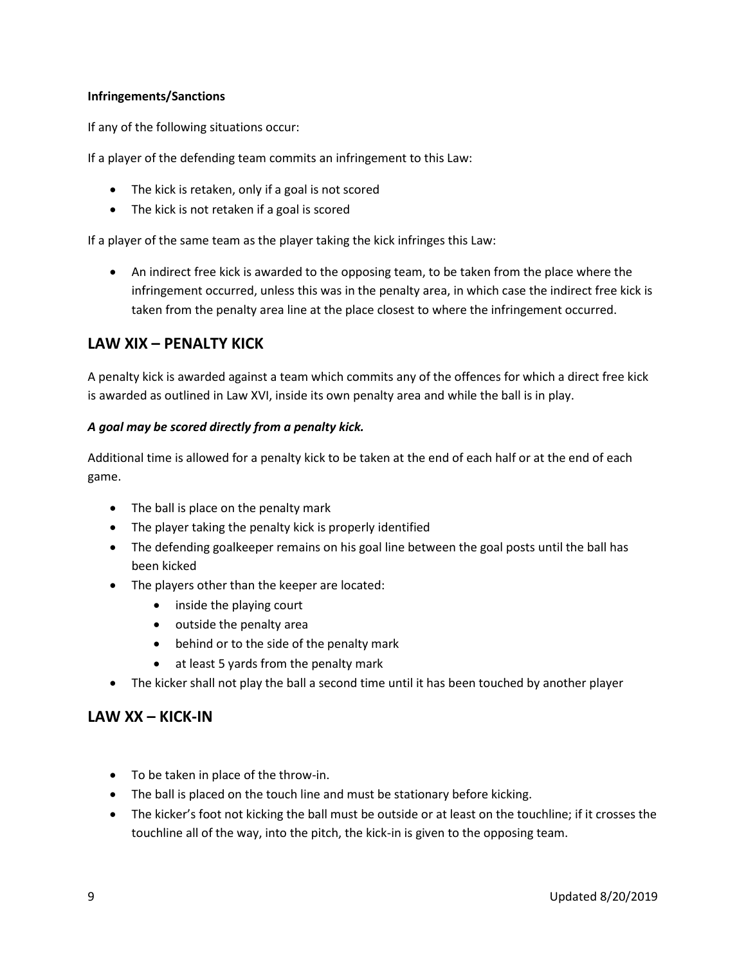### **Infringements/Sanctions**

If any of the following situations occur:

If a player of the defending team commits an infringement to this Law:

- The kick is retaken, only if a goal is not scored
- The kick is not retaken if a goal is scored

If a player of the same team as the player taking the kick infringes this Law:

 An indirect free kick is awarded to the opposing team, to be taken from the place where the infringement occurred, unless this was in the penalty area, in which case the indirect free kick is taken from the penalty area line at the place closest to where the infringement occurred.

## **LAW XIX – PENALTY KICK**

A penalty kick is awarded against a team which commits any of the offences for which a direct free kick is awarded as outlined in Law XVI, inside its own penalty area and while the ball is in play.

### *A goal may be scored directly from a penalty kick.*

Additional time is allowed for a penalty kick to be taken at the end of each half or at the end of each game.

- The ball is place on the penalty mark
- The player taking the penalty kick is properly identified
- The defending goalkeeper remains on his goal line between the goal posts until the ball has been kicked
- The players other than the keeper are located:
	- inside the playing court
	- outside the penalty area
	- behind or to the side of the penalty mark
	- at least 5 yards from the penalty mark
- The kicker shall not play the ball a second time until it has been touched by another player

### **LAW XX – KICK-IN**

- To be taken in place of the throw-in.
- The ball is placed on the touch line and must be stationary before kicking.
- The kicker's foot not kicking the ball must be outside or at least on the touchline; if it crosses the touchline all of the way, into the pitch, the kick-in is given to the opposing team.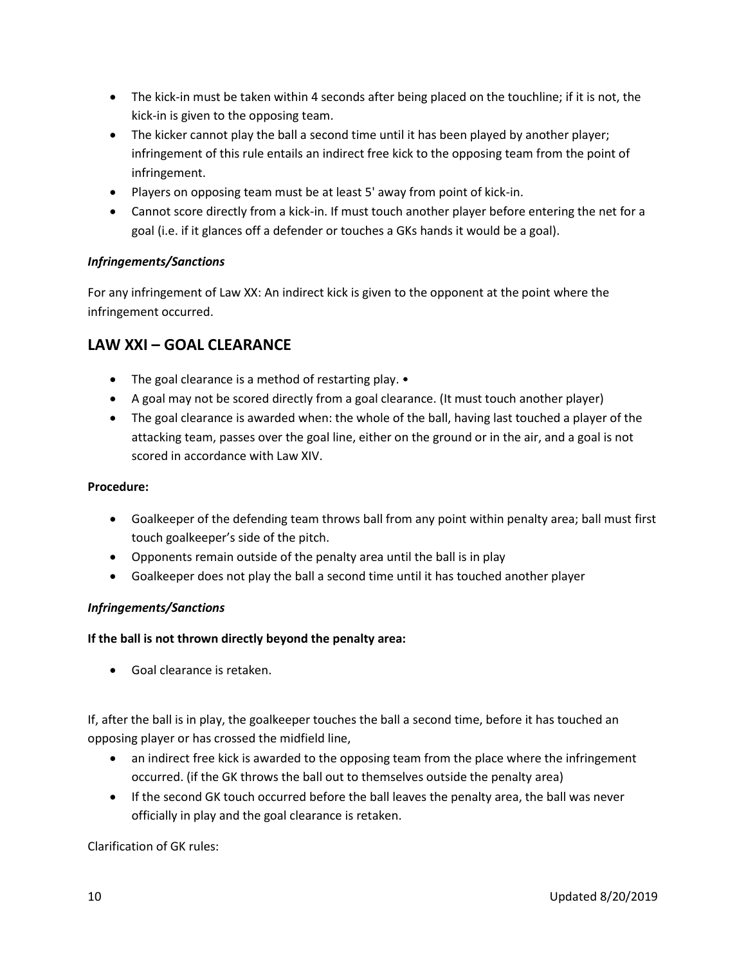- The kick-in must be taken within 4 seconds after being placed on the touchline; if it is not, the kick-in is given to the opposing team.
- The kicker cannot play the ball a second time until it has been played by another player; infringement of this rule entails an indirect free kick to the opposing team from the point of infringement.
- Players on opposing team must be at least 5' away from point of kick-in.
- Cannot score directly from a kick-in. If must touch another player before entering the net for a goal (i.e. if it glances off a defender or touches a GKs hands it would be a goal).

### *Infringements/Sanctions*

For any infringement of Law XX: An indirect kick is given to the opponent at the point where the infringement occurred.

## **LAW XXI – GOAL CLEARANCE**

- The goal clearance is a method of restarting play. •
- A goal may not be scored directly from a goal clearance. (It must touch another player)
- The goal clearance is awarded when: the whole of the ball, having last touched a player of the attacking team, passes over the goal line, either on the ground or in the air, and a goal is not scored in accordance with Law XIV.

#### **Procedure:**

- Goalkeeper of the defending team throws ball from any point within penalty area; ball must first touch goalkeeper's side of the pitch.
- Opponents remain outside of the penalty area until the ball is in play
- Goalkeeper does not play the ball a second time until it has touched another player

### *Infringements/Sanctions*

#### **If the ball is not thrown directly beyond the penalty area:**

Goal clearance is retaken.

If, after the ball is in play, the goalkeeper touches the ball a second time, before it has touched an opposing player or has crossed the midfield line,

- an indirect free kick is awarded to the opposing team from the place where the infringement occurred. (if the GK throws the ball out to themselves outside the penalty area)
- If the second GK touch occurred before the ball leaves the penalty area, the ball was never officially in play and the goal clearance is retaken.

Clarification of GK rules: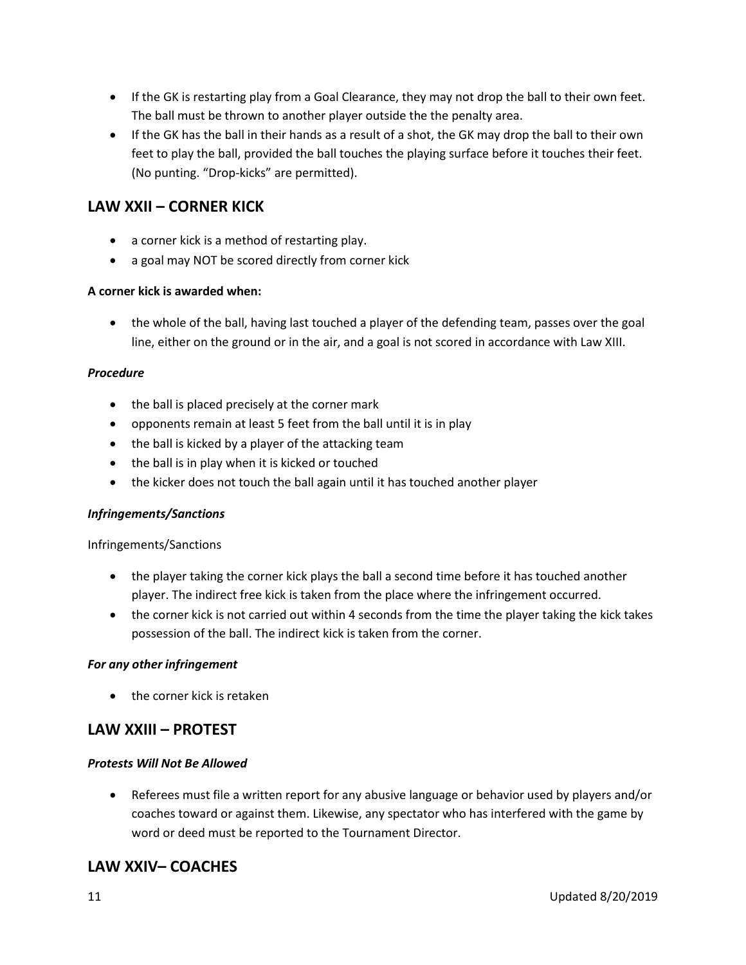- If the GK is restarting play from a Goal Clearance, they may not drop the ball to their own feet. The ball must be thrown to another player outside the the penalty area.
- If the GK has the ball in their hands as a result of a shot, the GK may drop the ball to their own feet to play the ball, provided the ball touches the playing surface before it touches their feet. (No punting. "Drop-kicks" are permitted).

## **LAW XXII – CORNER KICK**

- a corner kick is a method of restarting play.
- a goal may NOT be scored directly from corner kick

#### **A corner kick is awarded when:**

 the whole of the ball, having last touched a player of the defending team, passes over the goal line, either on the ground or in the air, and a goal is not scored in accordance with Law XIII.

#### *Procedure*

- the ball is placed precisely at the corner mark
- opponents remain at least 5 feet from the ball until it is in play
- the ball is kicked by a player of the attacking team
- the ball is in play when it is kicked or touched
- the kicker does not touch the ball again until it has touched another player

#### *Infringements/Sanctions*

#### Infringements/Sanctions

- the player taking the corner kick plays the ball a second time before it has touched another player. The indirect free kick is taken from the place where the infringement occurred.
- the corner kick is not carried out within 4 seconds from the time the player taking the kick takes possession of the ball. The indirect kick is taken from the corner.

#### *For any other infringement*

• the corner kick is retaken

### **LAW XXIII – PROTEST**

#### *Protests Will Not Be Allowed*

 Referees must file a written report for any abusive language or behavior used by players and/or coaches toward or against them. Likewise, any spectator who has interfered with the game by word or deed must be reported to the Tournament Director.

### **LAW XXIV– COACHES**